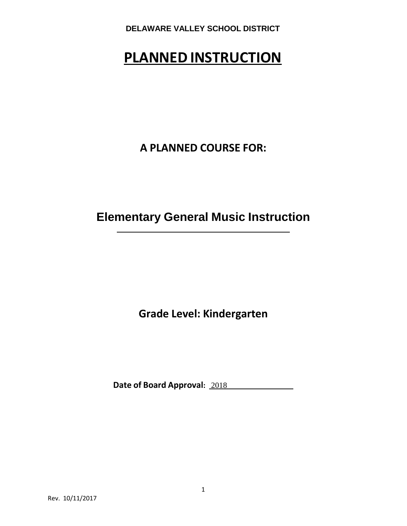# **PLANNED INSTRUCTION**

**A PLANNED COURSE FOR:**

**Elementary General Music Instruction**

**Grade Level: Kindergarten**

**Date of Board Approval:** 2018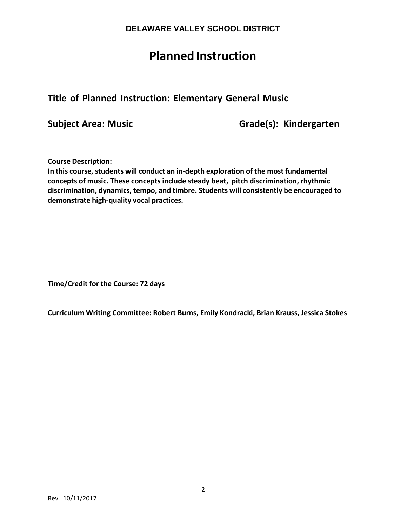# **Planned Instruction**

# **Title of Planned Instruction: Elementary General Music**

**Subject Area: Music Grade(s): Kindergarten**

**Course Description:**

**In this course, students will conduct an in-depth exploration of the most fundamental concepts of music. These concepts include steady beat, pitch discrimination, rhythmic discrimination, dynamics, tempo, and timbre. Students will consistently be encouraged to demonstrate high-quality vocal practices.**

**Time/Credit for the Course: 72 days**

**Curriculum Writing Committee: Robert Burns, Emily Kondracki, Brian Krauss, Jessica Stokes**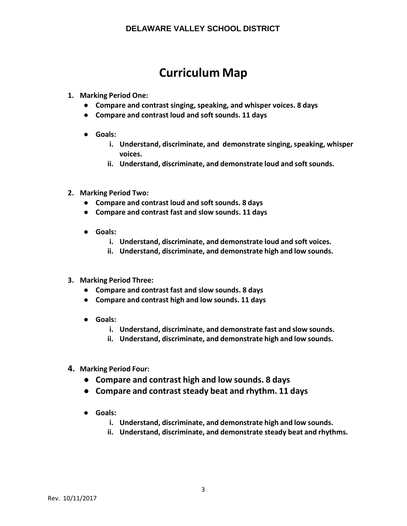# **Curriculum Map**

- **1. Marking Period One:**
	- **Compare and contrast singing, speaking, and whisper voices. 8 days**
	- **Compare and contrast loud and soft sounds. 11 days**
	- **Goals:**
		- **i. Understand, discriminate, and demonstrate singing, speaking, whisper voices.**
		- **ii. Understand, discriminate, and demonstrate loud and softsounds.**
- **2. Marking Period Two:**
	- **Compare and contrast loud and soft sounds. 8 days**
	- **Compare and contrast fast and slow sounds. 11 days**
	- **Goals:**
		- **i. Understand, discriminate, and demonstrate loud and soft voices.**
		- **ii. Understand, discriminate, and demonstrate high and low sounds.**
- **3. Marking Period Three:**
	- **Compare and contrast fast and slow sounds. 8 days**
	- **Compare and contrast high and low sounds. 11 days**
	- **Goals:**
		- **i. Understand, discriminate, and demonstrate fast and slow sounds.**
		- **ii. Understand, discriminate, and demonstrate high and low sounds.**
- **4. Marking Period Four:**
	- **Compare and contrast high and low sounds. 8 days**
	- **Compare and contrast steady beat and rhythm. 11 days**
	- **Goals:**
		- **i. Understand, discriminate, and demonstrate high and low sounds.**
		- **ii. Understand, discriminate, and demonstrate steady beat and rhythms.**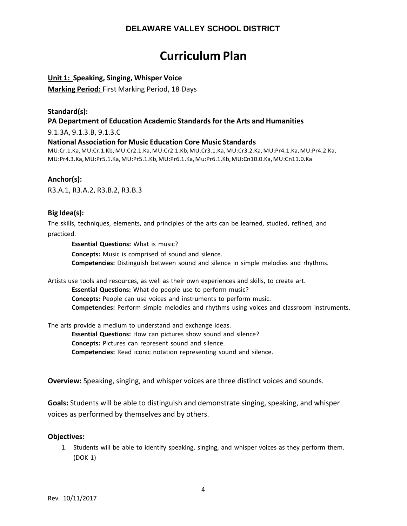# **Curriculum Plan**

## **Unit 1: Speaking, Singing, Whisper Voice**

**Marking Period:** First Marking Period, 18 Days

# **Standard(s): PA Department of Education Academic Standards for the Arts and Humanities**

9.1.3A, 9.1.3.B, 9.1.3.C

## **National Association for Music Education Core Music Standards**

MU:Cr.1.Ka,MU:Cr.1.Kb,MU:Cr2.1.Ka,MU:Cr2.1.Kb,MU.Cr3.1.Ka,MU:Cr3.2.Ka,MU:Pr4.1.Ka,MU:Pr4.2.Ka, MU:Pr4.3.Ka,MU:Pr5.1.Ka,MU:Pr5.1.Kb,MU:Pr6.1.Ka,Mu:Pr6.1.Kb,MU:Cn10.0.Ka,MU:Cn11.0.Ka

## **Anchor(s):**

R3.A.1, R3.A.2, R3.B.2, R3.B.3

## **Big Idea(s):**

The skills, techniques, elements, and principles of the arts can be learned, studied, refined, and practiced.

**Essential Questions:** What is music?

**Concepts:** Music is comprised of sound and silence. **Competencies:** Distinguish between sound and silence in simple melodies and rhythms.

Artists use tools and resources, as well as their own experiences and skills, to create art.

**Essential Questions:** What do people use to perform music?

**Concepts:** People can use voices and instruments to perform music.

**Competencies:** Perform simple melodies and rhythms using voices and classroom instruments.

The arts provide a medium to understand and exchange ideas.

**Essential Questions:** How can pictures show sound and silence? **Concepts:** Pictures can represent sound and silence.

**Competencies:** Read iconic notation representing sound and silence.

**Overview:** Speaking, singing, and whisper voices are three distinct voices and sounds.

**Goals:** Students will be able to distinguish and demonstrate singing, speaking, and whisper voices as performed by themselves and by others.

#### **Objectives:**

1. Students will be able to identify speaking, singing, and whisper voices as they perform them. (DOK 1)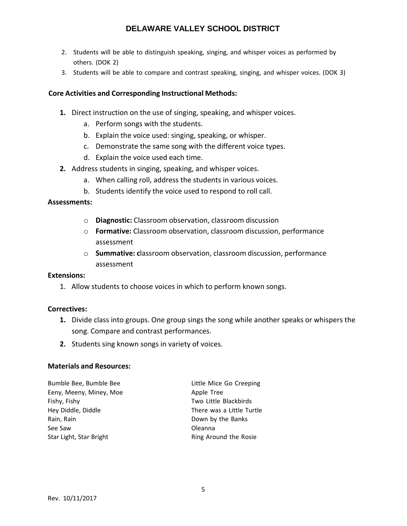- 2. Students will be able to distinguish speaking, singing, and whisper voices as performed by others. (DOK 2)
- 3. Students will be able to compare and contrast speaking, singing, and whisper voices. (DOK 3)

## **Core Activities and Corresponding Instructional Methods:**

- **1.** Direct instruction on the use of singing, speaking, and whisper voices.
	- a. Perform songs with the students.
	- b. Explain the voice used: singing, speaking, or whisper.
	- c. Demonstrate the same song with the different voice types.
	- d. Explain the voice used each time.
- **2.** Address students in singing, speaking, and whisper voices.
	- a. When calling roll, address the students in various voices.
	- b. Students identify the voice used to respond to roll call.

#### **Assessments:**

- o **Diagnostic:** Classroom observation, classroom discussion
- o **Formative:** Classroom observation, classroom discussion, performance assessment
- o **Summative: c**lassroom observation, classroom discussion, performance assessment

#### **Extensions:**

1. Allow students to choose voices in which to perform known songs.

#### **Correctives:**

- **1.** Divide class into groups. One group sings the song while another speaks or whispers the song. Compare and contrast performances.
- **2.** Students sing known songs in variety of voices.

## **Materials and Resources:**

| Little Mice Go Creeping   |
|---------------------------|
| Apple Tree                |
| Two Little Blackbirds     |
| There was a Little Turtle |
| Down by the Banks         |
| Oleanna                   |
| Ring Around the Rosie     |
|                           |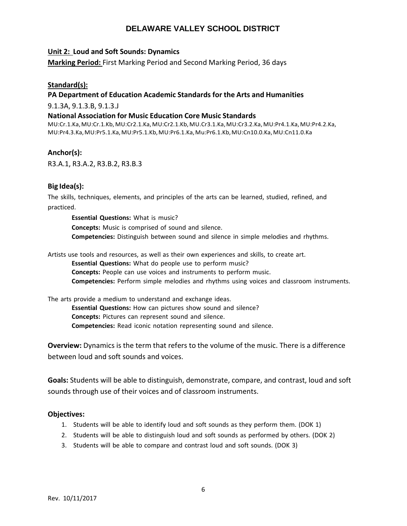## **Unit 2: Loud and Soft Sounds: Dynamics**

**Marking Period:** First Marking Period and Second Marking Period, 36 days

## **Standard(s):**

## **PA Department of Education Academic Standards for the Arts and Humanities**

9.1.3A, 9.1.3.B, 9.1.3.J

### **National Association for Music Education Core Music Standards**

MU:Cr.1.Ka,MU:Cr.1.Kb,MU:Cr2.1.Ka,MU:Cr2.1.Kb,MU.Cr3.1.Ka,MU:Cr3.2.Ka,MU:Pr4.1.Ka,MU:Pr4.2.Ka, MU:Pr4.3.Ka,MU:Pr5.1.Ka,MU:Pr5.1.Kb,MU:Pr6.1.Ka,Mu:Pr6.1.Kb,MU:Cn10.0.Ka,MU:Cn11.0.Ka

## **Anchor(s):**

R3.A.1, R3.A.2, R3.B.2, R3.B.3

## **Big Idea(s):**

The skills, techniques, elements, and principles of the arts can be learned, studied, refined, and practiced.

**Essential Questions:** What is music? **Concepts:** Music is comprised of sound and silence. **Competencies:** Distinguish between sound and silence in simple melodies and rhythms.

Artists use tools and resources, as well as their own experiences and skills, to create art.

**Essential Questions:** What do people use to perform music?

**Concepts:** People can use voices and instruments to perform music.

**Competencies:** Perform simple melodies and rhythms using voices and classroom instruments.

The arts provide a medium to understand and exchange ideas.

**Essential Questions:** How can pictures show sound and silence? **Concepts:** Pictures can represent sound and silence. **Competencies:** Read iconic notation representing sound and silence.

**Overview:** Dynamics is the term that refers to the volume of the music. There is a difference between loud and soft sounds and voices.

**Goals:** Students will be able to distinguish, demonstrate, compare, and contrast, loud and soft sounds through use of their voices and of classroom instruments.

- 1. Students will be able to identify loud and soft sounds as they perform them. (DOK 1)
- 2. Students will be able to distinguish loud and soft sounds as performed by others. (DOK 2)
- 3. Students will be able to compare and contrast loud and soft sounds. (DOK 3)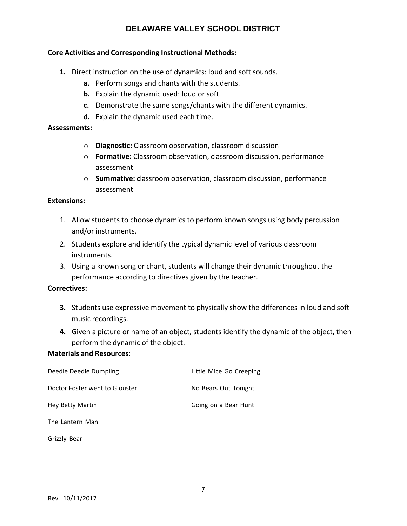## **Core Activities and Corresponding Instructional Methods:**

- **1.** Direct instruction on the use of dynamics: loud and soft sounds.
	- **a.** Perform songs and chants with the students.
	- **b.** Explain the dynamic used: loud or soft.
	- **c.** Demonstrate the same songs/chants with the different dynamics.
	- **d.** Explain the dynamic used each time.

## **Assessments:**

- o **Diagnostic:** Classroom observation, classroom discussion
- o **Formative:** Classroom observation, classroom discussion, performance assessment
- o **Summative: c**lassroom observation, classroom discussion, performance assessment

### **Extensions:**

- 1. Allow students to choose dynamics to perform known songs using body percussion and/or instruments.
- 2. Students explore and identify the typical dynamic level of various classroom instruments.
- 3. Using a known song or chant, students will change their dynamic throughout the performance according to directives given by the teacher.

## **Correctives:**

- **3.** Students use expressive movement to physically show the differences in loud and soft music recordings.
- **4.** Given a picture or name of an object, students identify the dynamic of the object, then perform the dynamic of the object.

#### **Materials and Resources:**

| Deedle Deedle Dumpling         | Little Mice Go Creeping |
|--------------------------------|-------------------------|
| Doctor Foster went to Glouster | No Bears Out Tonight    |
| Hey Betty Martin               | Going on a Bear Hunt    |
| The Lantern Man                |                         |
|                                |                         |

Grizzly Bear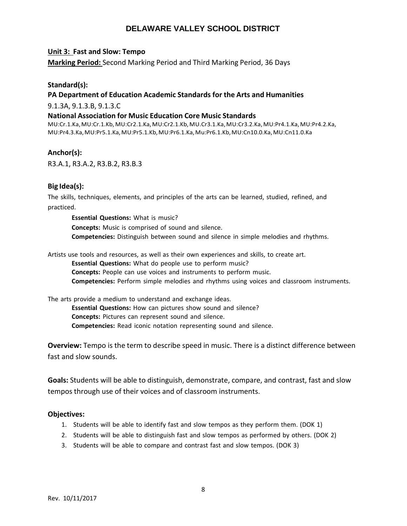#### **Unit 3: Fast and Slow: Tempo**

**Marking Period:** Second Marking Period and Third Marking Period, 36 Days

## **Standard(s):**

## **PA Department of Education Academic Standards for the Arts and Humanities**

9.1.3A, 9.1.3.B, 9.1.3.C

#### **National Association for Music Education Core Music Standards**

MU:Cr.1.Ka,MU:Cr.1.Kb,MU:Cr2.1.Ka,MU:Cr2.1.Kb,MU.Cr3.1.Ka,MU:Cr3.2.Ka,MU:Pr4.1.Ka,MU:Pr4.2.Ka, MU:Pr4.3.Ka,MU:Pr5.1.Ka,MU:Pr5.1.Kb,MU:Pr6.1.Ka,Mu:Pr6.1.Kb,MU:Cn10.0.Ka,MU:Cn11.0.Ka

## **Anchor(s):**

R3.A.1, R3.A.2, R3.B.2, R3.B.3

## **Big Idea(s):**

The skills, techniques, elements, and principles of the arts can be learned, studied, refined, and practiced.

**Essential Questions:** What is music? **Concepts:** Music is comprised of sound and silence. **Competencies:** Distinguish between sound and silence in simple melodies and rhythms.

Artists use tools and resources, as well as their own experiences and skills, to create art.

**Essential Questions:** What do people use to perform music?

**Concepts:** People can use voices and instruments to perform music.

**Competencies:** Perform simple melodies and rhythms using voices and classroom instruments.

The arts provide a medium to understand and exchange ideas.

**Essential Questions:** How can pictures show sound and silence? **Concepts:** Pictures can represent sound and silence. **Competencies:** Read iconic notation representing sound and silence.

**Overview:** Tempo is the term to describe speed in music. There is a distinct difference between fast and slow sounds.

**Goals:** Students will be able to distinguish, demonstrate, compare, and contrast, fast and slow tempos through use of their voices and of classroom instruments.

- 1. Students will be able to identify fast and slow tempos as they perform them. (DOK 1)
- 2. Students will be able to distinguish fast and slow tempos as performed by others. (DOK 2)
- 3. Students will be able to compare and contrast fast and slow tempos. (DOK 3)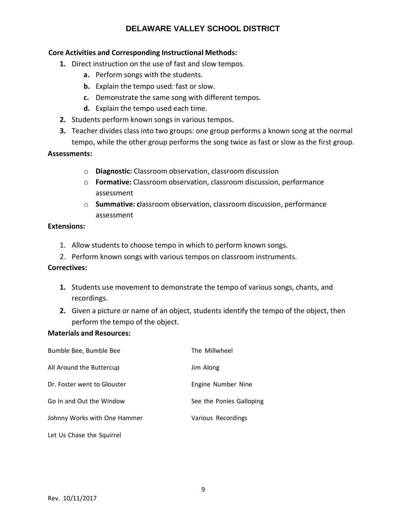## **Core Activities and Corresponding Instructional Methods:**

- **1.** Direct instruction on the use of fast and slow tempos.
	- **a.** Perform songs with the students.
	- **b.** Explain the tempo used: fast or slow.
	- **c.** Demonstrate the same song with different tempos.
	- **d.** Explain the tempo used each time.
- **2.** Students perform known songs in various tempos.
- **3.** Teacher divides class into two groups: one group performs a known song at the normal tempo, while the other group performs the song twice as fast or slow as the first group.

## **Assessments:**

- o **Diagnostic:** Classroom observation, classroom discussion
- o **Formative:** Classroom observation, classroom discussion, performance assessment
- o **Summative: c**lassroom observation, classroom discussion, performance assessment

## **Extensions:**

- 1. Allow students to choose tempo in which to perform known songs.
- 2. Perform known songs with various tempos on classroom instruments.

## **Correctives:**

- **1.** Students use movement to demonstrate the tempo of various songs, chants, and recordings.
- **2.** Given a picture or name of an object, students identify the tempo of the object, then perform the tempo of the object.

## **Materials and Resources:**

| Bumble Bee, Bumble Bee       | The Millwheel            |
|------------------------------|--------------------------|
| All Around the Buttercup     | Jim Along                |
| Dr. Foster went to Glouster  | Engine Number Nine       |
| Go In and Out the Window     | See the Ponies Galloping |
| Johnny Works with One Hammer | Various Recordings       |
| Let Us Chase the Squirrel    |                          |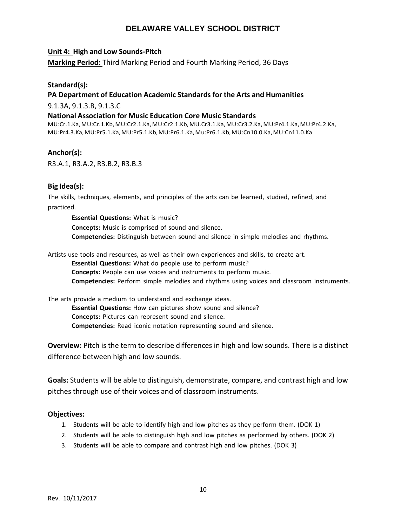## **Unit 4: High and Low Sounds-Pitch**

**Marking Period:** Third Marking Period and Fourth Marking Period, 36 Days

## **Standard(s):**

## **PA Department of Education Academic Standards for the Arts and Humanities**

9.1.3A, 9.1.3.B, 9.1.3.C

### **National Association for Music Education Core Music Standards**

MU:Cr.1.Ka,MU:Cr.1.Kb,MU:Cr2.1.Ka,MU:Cr2.1.Kb,MU.Cr3.1.Ka,MU:Cr3.2.Ka,MU:Pr4.1.Ka,MU:Pr4.2.Ka, MU:Pr4.3.Ka,MU:Pr5.1.Ka,MU:Pr5.1.Kb,MU:Pr6.1.Ka,Mu:Pr6.1.Kb,MU:Cn10.0.Ka,MU:Cn11.0.Ka

## **Anchor(s):**

R3.A.1, R3.A.2, R3.B.2, R3.B.3

## **Big Idea(s):**

The skills, techniques, elements, and principles of the arts can be learned, studied, refined, and practiced.

**Essential Questions:** What is music? **Concepts:** Music is comprised of sound and silence. **Competencies:** Distinguish between sound and silence in simple melodies and rhythms.

Artists use tools and resources, as well as their own experiences and skills, to create art.

**Essential Questions:** What do people use to perform music?

**Concepts:** People can use voices and instruments to perform music.

**Competencies:** Perform simple melodies and rhythms using voices and classroom instruments.

The arts provide a medium to understand and exchange ideas.

**Essential Questions:** How can pictures show sound and silence? **Concepts:** Pictures can represent sound and silence. **Competencies:** Read iconic notation representing sound and silence.

**Overview:** Pitch is the term to describe differences in high and low sounds. There is a distinct difference between high and low sounds.

**Goals:** Students will be able to distinguish, demonstrate, compare, and contrast high and low pitches through use of their voices and of classroom instruments.

- 1. Students will be able to identify high and low pitches as they perform them. (DOK 1)
- 2. Students will be able to distinguish high and low pitches as performed by others. (DOK 2)
- 3. Students will be able to compare and contrast high and low pitches. (DOK 3)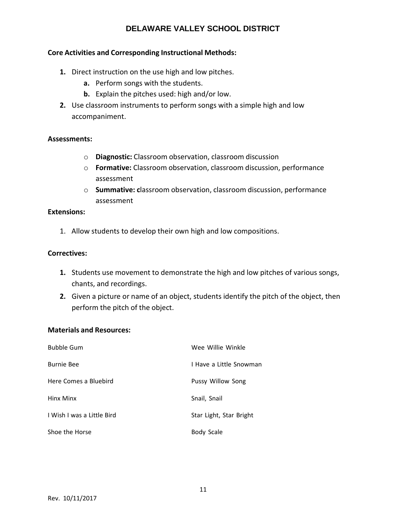## **Core Activities and Corresponding Instructional Methods:**

- **1.** Direct instruction on the use high and low pitches.
	- **a.** Perform songs with the students.
	- **b.** Explain the pitches used: high and/or low.
- **2.** Use classroom instruments to perform songs with a simple high and low accompaniment.

#### **Assessments:**

- o **Diagnostic:** Classroom observation, classroom discussion
- o **Formative:** Classroom observation, classroom discussion, performance assessment
- o **Summative: c**lassroom observation, classroom discussion, performance assessment

#### **Extensions:**

1. Allow students to develop their own high and low compositions.

## **Correctives:**

- **1.** Students use movement to demonstrate the high and low pitches of various songs, chants, and recordings.
- **2.** Given a picture or name of an object, students identify the pitch of the object, then perform the pitch of the object.

## **Materials and Resources:**

| <b>Bubble Gum</b>          | Wee Willie Winkle        |
|----------------------------|--------------------------|
| <b>Burnie Bee</b>          | I Have a Little Snowman  |
| Here Comes a Bluebird      | <b>Pussy Willow Song</b> |
| Hinx Minx                  | Snail, Snail             |
| I Wish I was a Little Bird | Star Light, Star Bright  |
| Shoe the Horse             | Body Scale               |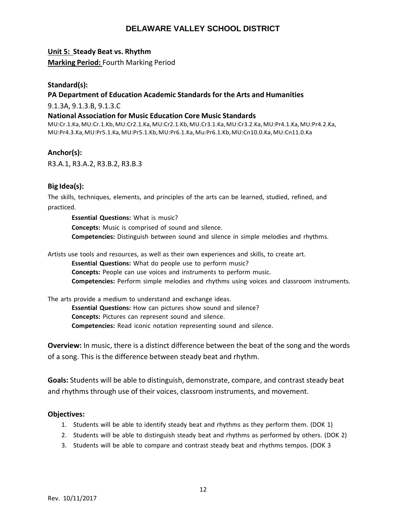## **Unit 5: Steady Beat vs. Rhythm**

**Marking Period:** Fourth Marking Period

## **Standard(s):**

## **PA Department of Education Academic Standards for the Arts and Humanities**

9.1.3A, 9.1.3.B, 9.1.3.C

### **National Association for Music Education Core Music Standards**

MU:Cr.1.Ka,MU:Cr.1.Kb,MU:Cr2.1.Ka,MU:Cr2.1.Kb,MU.Cr3.1.Ka,MU:Cr3.2.Ka,MU:Pr4.1.Ka,MU:Pr4.2.Ka, MU:Pr4.3.Ka,MU:Pr5.1.Ka,MU:Pr5.1.Kb,MU:Pr6.1.Ka,Mu:Pr6.1.Kb,MU:Cn10.0.Ka,MU:Cn11.0.Ka

## **Anchor(s):**

R3.A.1, R3.A.2, R3.B.2, R3.B.3

## **Big Idea(s):**

The skills, techniques, elements, and principles of the arts can be learned, studied, refined, and practiced.

**Essential Questions:** What is music? **Concepts:** Music is comprised of sound and silence. **Competencies:** Distinguish between sound and silence in simple melodies and rhythms.

Artists use tools and resources, as well as their own experiences and skills, to create art.

**Essential Questions:** What do people use to perform music?

**Concepts:** People can use voices and instruments to perform music.

**Competencies:** Perform simple melodies and rhythms using voices and classroom instruments.

The arts provide a medium to understand and exchange ideas.

**Essential Questions:** How can pictures show sound and silence? **Concepts:** Pictures can represent sound and silence. **Competencies:** Read iconic notation representing sound and silence.

**Overview:** In music, there is a distinct difference between the beat of the song and the words of a song. This is the difference between steady beat and rhythm.

**Goals:** Students will be able to distinguish, demonstrate, compare, and contrast steady beat and rhythms through use of their voices, classroom instruments, and movement.

- 1. Students will be able to identify steady beat and rhythms as they perform them. (DOK 1)
- 2. Students will be able to distinguish steady beat and rhythms as performed by others. (DOK 2)
- 3. Students will be able to compare and contrast steady beat and rhythms tempos. (DOK 3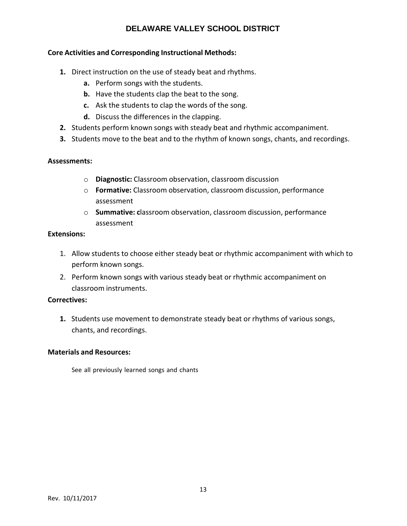## **Core Activities and Corresponding Instructional Methods:**

- **1.** Direct instruction on the use of steady beat and rhythms.
	- **a.** Perform songs with the students.
	- **b.** Have the students clap the beat to the song.
	- **c.** Ask the students to clap the words of the song.
	- **d.** Discuss the differences in the clapping.
- **2.** Students perform known songs with steady beat and rhythmic accompaniment.
- **3.** Students move to the beat and to the rhythm of known songs, chants, and recordings.

## **Assessments:**

- o **Diagnostic:** Classroom observation, classroom discussion
- o **Formative:** Classroom observation, classroom discussion, performance assessment
- o **Summative: c**lassroom observation, classroom discussion, performance assessment

## **Extensions:**

- 1. Allow students to choose either steady beat or rhythmic accompaniment with which to perform known songs.
- 2. Perform known songs with various steady beat or rhythmic accompaniment on classroom instruments.

## **Correctives:**

**1.** Students use movement to demonstrate steady beat or rhythms of various songs, chants, and recordings.

#### **Materials and Resources:**

See all previously learned songs and chants